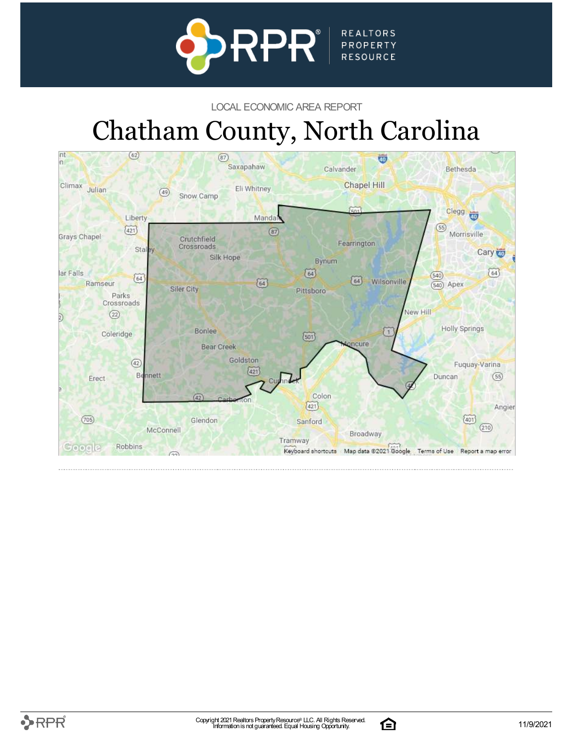

#### LOCAL ECONOMIC AREA REPORT

# Chatham County, North Carolina



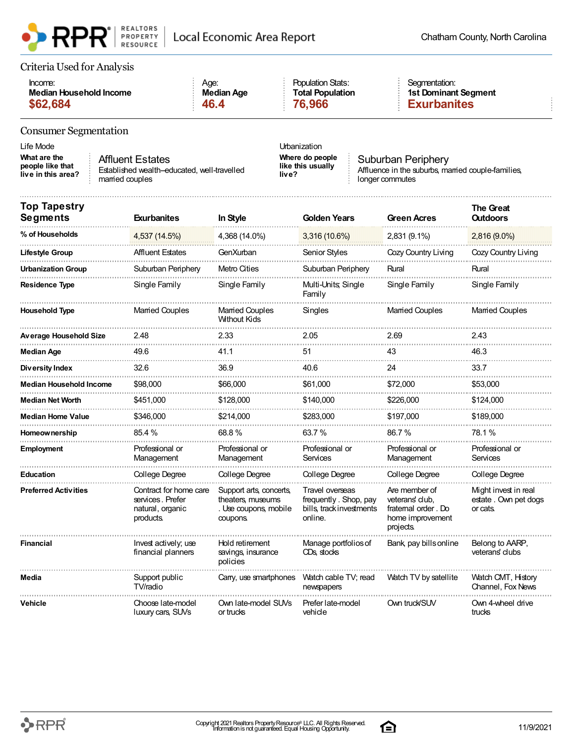

#### Criteria Used for Analysis

| Income:                 | Age:       | <b>Population Stats:</b> | Seamentation:        |
|-------------------------|------------|--------------------------|----------------------|
| Median Household Income | Median Age | <b>Total Population</b>  | 1st Dominant Seament |
| \$62,684                | 46.4       | 76,966                   | <b>Exurbanites</b>   |

#### Consumer Segmentation

Life Mode Urbanization

**What are the people like that live in this area?** Affluent Estates married couples

Established wealth-educated, well-travelled

**Where do people like this usually live?**

Suburban Periphery Affluence in the suburbs, married couple-families, longer commutes

| <b>Top Tapestry</b><br><b>Segments</b> | <b>Exurbanites</b>                                                          | In Style                                                                          | <b>Golden Years</b>                                                             | <b>Green Acres</b>                                                                     | <b>The Great</b><br><b>Outdoors</b>                       |
|----------------------------------------|-----------------------------------------------------------------------------|-----------------------------------------------------------------------------------|---------------------------------------------------------------------------------|----------------------------------------------------------------------------------------|-----------------------------------------------------------|
| % of Households                        | 4,537 (14.5%)                                                               | 4,368 (14.0%)                                                                     | 3,316 (10.6%)                                                                   | 2,831 (9.1%)                                                                           | 2,816 (9.0%)                                              |
| <b>Lifestyle Group</b>                 | <b>Affluent Estates</b>                                                     | GenXurban                                                                         | <b>Senior Styles</b>                                                            | Cozy Country Living                                                                    | Cozy Country Living                                       |
| <b>Urbanization Group</b>              | Suburban Periphery                                                          | Metro Cities                                                                      | Suburban Periphery                                                              | Rural                                                                                  | Rural                                                     |
| <b>Residence Type</b>                  | Single Family                                                               | Single Family                                                                     | Multi-Units, Single<br>Family                                                   | Single Family                                                                          | Single Family                                             |
| <b>Household Type</b>                  | <b>Married Couples</b>                                                      | <b>Married Couples</b><br><b>Without Kids</b>                                     | Singles                                                                         | <b>Married Couples</b>                                                                 | <b>Married Couples</b>                                    |
| Average Household Size                 | 2.48                                                                        | 2.33                                                                              | 2.05                                                                            | 2.69                                                                                   | 2.43                                                      |
| <b>Median Age</b>                      | 49.6                                                                        | 41.1                                                                              | 51                                                                              | 43                                                                                     | 46.3                                                      |
| Diversity Index                        | 32.6                                                                        | 36.9                                                                              | 40.6                                                                            | 24                                                                                     | 33.7                                                      |
| <b>Median Household Income</b>         | \$98,000                                                                    | \$66,000                                                                          | \$61,000                                                                        | \$72,000                                                                               | \$53,000                                                  |
| <b>Median Net Worth</b>                | \$451,000                                                                   | \$128,000                                                                         | \$140,000                                                                       | \$226,000                                                                              | \$124,000                                                 |
| <b>Median Home Value</b>               | \$346.000                                                                   | \$214.000                                                                         | \$283,000                                                                       | \$197.000                                                                              | \$189,000                                                 |
| <b>Homeownership</b>                   | 85.4 %                                                                      | 68.8%                                                                             | 63.7%                                                                           | 86.7%                                                                                  | 78.1%                                                     |
| <b>Employment</b>                      | Professional or<br>Management                                               | Professional or<br>Management                                                     | Professional or<br>Services                                                     | Professional or<br>Management                                                          | Professional or<br>Services                               |
| <b>Education</b>                       | College Degree                                                              | College Degree                                                                    | College Degree                                                                  | College Degree                                                                         | College Degree                                            |
| <b>Preferred Activities</b>            | Contract for home care<br>services. Prefer<br>natural, organic<br>products. | Support arts, concerts,<br>theaters, museums<br>. Use coupons, mobile<br>coupons. | Travel overseas<br>frequently. Shop, pay<br>bills, track investments<br>online. | Are member of<br>veterans' club,<br>fratemal order. Do<br>home improvement<br>projects | Might invest in real<br>estate . Own pet dogs<br>or cats. |
| <b>Financial</b>                       | Invest actively; use<br>financial planners                                  | Hold retirement<br>savings, insurance<br>policies                                 | Manage portfolios of<br>CDs, stocks                                             | Bank, pay bills online                                                                 | Belong to AARP,<br>veterans' clubs                        |
| Media                                  | Support public<br>TV/radio                                                  | Carry, use smartphones                                                            | Watch cable TV; read<br>newspapers                                              | Watch TV by satellite                                                                  | Watch CMT, History<br>Channel, Fox News                   |
| Vehicle                                | Choose late-model<br>luxury cars, SUVs                                      | Own late-model SUVs<br>or trucks                                                  | Prefer late-model<br>vehicle                                                    | Own truck/SUV                                                                          | Own 4-wheel drive<br>trucks                               |

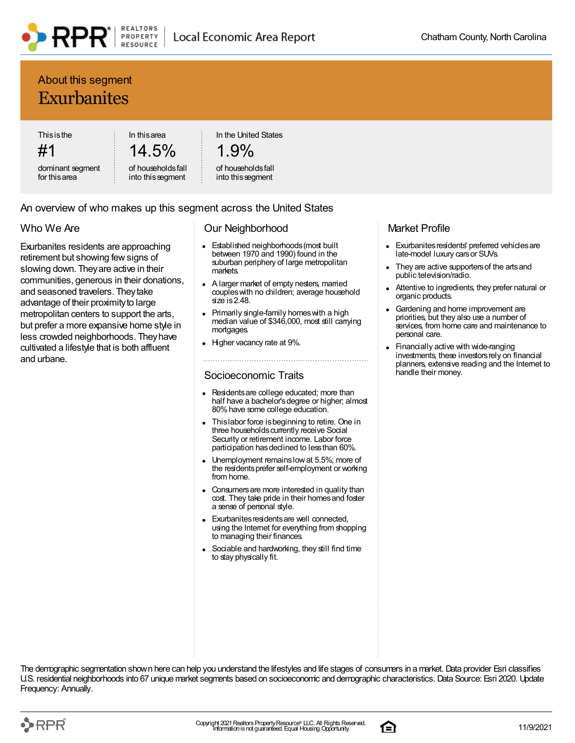### About this segment **Exurbanites**

This is the

#1

dominant segment for this area

In this area 14.5%

of households fall into this segment

In the United States

### 1.9%

#### of households fall into this segment

#### An overview of who makes up this segment across the United States

#### Who We Are

Exurbanites residents are approaching retirement but showing few signs of slowing down. They are active in their communities, generous in their donations, and seasoned travelers. They take advantage of their proximity to large metropolitan centers to support the arts, but prefer a more expansive home style in less crowded neighborhoods. They have cultivated a lifestyle that is both affluent and urbane.

#### Our Neighborhood

- Established neighborhoods (most built  $\bullet$ between 1970 and 1990) found in the suburban periphery of large metropolitan markets.
- A larger market of empty nesters, married couples with no children; average household size is 2.48.
- Primarily single-family homes with a high median value of \$346,000, most still carrying mortgages
- Higher vacancy rate at 9%.

#### Socioeconomic Traits

- Residents are college educated; more than half have a bachelor's degree or higher; almost 80% have some college education.
- This labor force is beginning to retire. One in three households currently receive Social Security or retirement income. Labor force participation has declined to less than 60%.
- Unemployment remains low at 5.5%; more of the residents prefer self-employment or working from home.
- Consumers are more interested in quality than cost. They take pride in their homes and foster a sense of personal style.
- Exurbanites residents are well connected, using the Internet for everything from shopping to managing their finances.
- Sociable and hardworking, they still find time to stay physically fit.

#### Market Profile

- Exurbanites residents' preferred vehicles are late-model luxury cars or SUVs.
- They are active supporters of the arts and public television/radio.
- Attentive to ingredients, they prefer natural or organic products.
- Gardening and home improvement are priorities, but they also use a number of services, from home care and maintenance to personal care.
- Financially active with wide-ranging investments, these investors rely on financial planners, extensive reading and the Internet to handle their money.



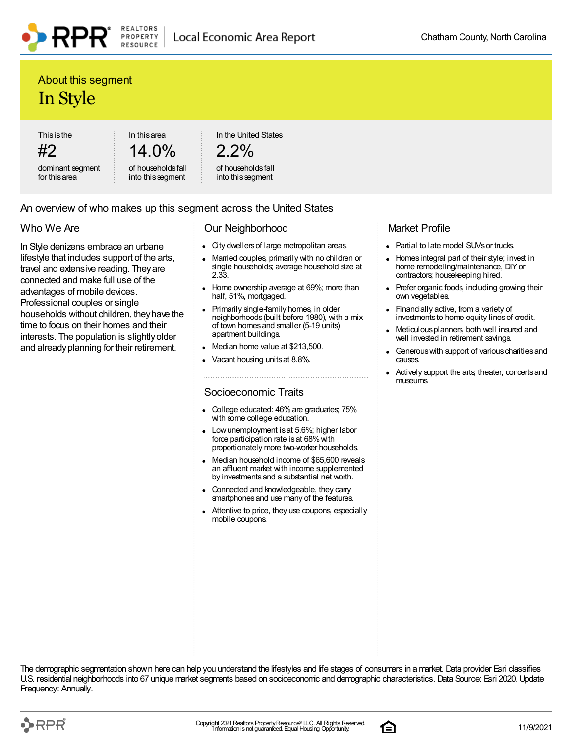### About this segment In Style

This is the

#2 dominant segment for this area

14.0% of households fall

into this segment

In this area

PROPERTY

RESOURCE

In the United States

```
2.2\%
```
of households fall into this segment

### An overview of who makes up this segment across the United States

### Who We Are

In Style denizens embrace an urbane lifestyle that includes support of the arts, travel and extensive reading. They are connected and make full use of the advantages of mobile devices. Professional couples or single households without children, they have the time to focus on their homes and their interests. The population is slightly older and already planning for their retirement.

#### Our Neighborhood

- City dwellers of large metropolitan areas.
- Married couples, primarily with no children or single households; average household size at 2.33.
- Home ownership average at 69%; more than half, 51%, mortgaged.
- Primarily single-family homes, in older neighborhoods (built before 1980), with a mix of town homes and smaller (5-19 units) apartment buildings.
- Median home value at \$213,500.
- Vacant housing units at 8.8%.

#### Socioeconomic Traits

- College educated: 46% are graduates; 75% with some college education.
- Low unemployment is at 5.6%; higher labor force participation rate is at 68% with proportionately more two-worker households.
- Median household income of \$65,600 reveals an affluent market with income supplemented by investments and a substantial net worth.
- Connected and knowledgeable, they carry smartphones and use many of the features.
- Attentive to price, they use coupons, especially mobile coupons.

#### Market Profile

- Partial to late model SUVs or trucks.
- Homes integral part of their style; invest in  $\bullet$ home remodeling/maintenance, DIY or contractors; housekeeping hired.
- Prefer organic foods, including growing their own vegetables.
- Financially active, from a variety of investments to home equity lines of credit.
- Meticulous planners, both well insured and well invested in retirement savings.
- Generous with support of various charities and causes.
- Actively support the arts, theater, concerts and museums.

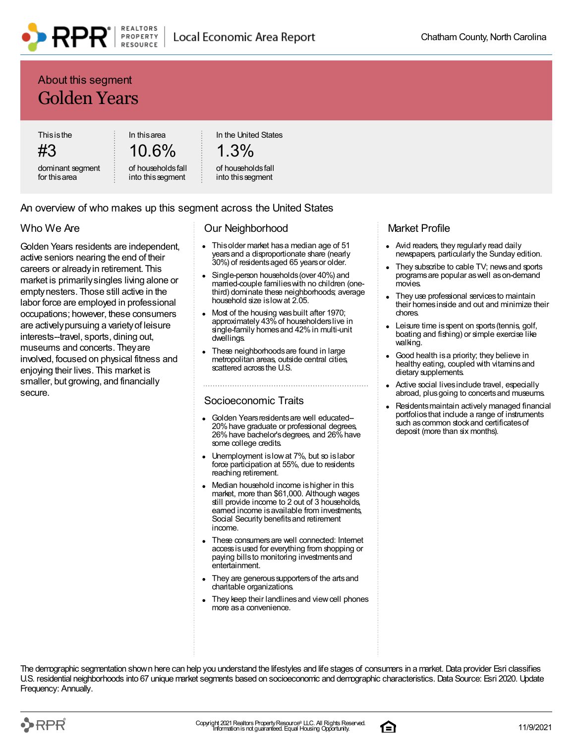### About this segment Golden Years

This is the

#3 dominant segment 10.6%

In this area

In the United States

```
1.3%
```
for this area

of households fall into this segment

of households fall into this segment

#### An overview of who makes up this segment across the United States

#### Who We Are

Golden Years residents are independent, active seniors nearing the end of their careers or already in retirement. This market is primarily singles living alone or empty nesters. Those still active in the labor force are employed in professional occupations; however, these consumers are actively pursuing a variety of leisure interests--travel, sports, dining out, museums and concerts. They are involved, focused on physical fitness and enjoying their lives. This market is smaller, but growing, and financially secure.

#### Our Neighborhood

- This older market has a median age of 51 years and a disproportionate share (nearly 30%) of residents aged 65 years or older.
- Single-person households (over 40%) and married-couple families with no children (onethird) dominate these neighborhoods; average household size is low at 2.05.
- Most of the housing was built after 1970; approximately 43% of householders live in single-family homes and 42% in multi-unit dwellings.
- These neighborhoods are found in large metropolitan areas, outside central cities, scattered across the U.S.

#### Socioeconomic Traits

- Golden Years residents are well educated-- 20% have graduate or professional degrees, 26% have bachelor's degrees, and 26% have some college credits.
- Unemployment is low at 7%, but so is labor force participation at 55%, due to residents reaching retirement.
- Median household income is higher in this market, more than \$61,000. Although wages still provide income to 2 out of 3 households, earned income is available from investments, Social Security benefits and retirement income.
- These consumers are well connected: Internet access is used for everything from shopping or paying bills to monitoring investments and entertainment.
- They are generous supporters of the arts and charitable organizations.
- They keep their landlines and view cell phones more as a convenience.

#### Market Profile

- Avid readers, they regularly read daily newspapers, particularly the Sunday edition.
- They subscribe to cable TV; news and sports programs are popular as well as on-demand movies.
- They use professional services to maintain their homes inside and out and minimize their chores.
- Leisure time is spent on sports (tennis, golf, boating and fishing) or simple exercise like walking.
- Good health is a priority; they believe in healthy eating, coupled with vitamins and dietary supplements.
- Active social lives include travel, especially abroad, plus going to concerts and museums.
- Residents maintain actively managed financial portfolios that include a range of instruments such as common stock and certificates of deposit (more than six months).



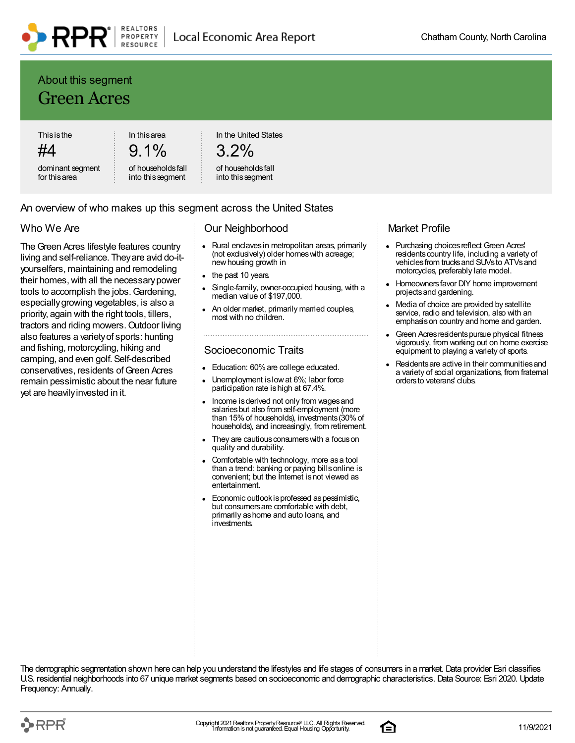### About this segment Green Acres

This is the #4

dominant segment for this area

9.1% of households fall

into this segment

In this area

In the United States

### 3.2%

#### of households fall into this segment

#### An overview of who makes up this segment across the United States

#### Who We Are

The Green Acres lifestyle features country living and self-reliance. They are avid do-ityourselfers, maintaining and remodeling their homes, with all the necessary power tools to accomplish the jobs. Gardening, especially growing vegetables, is also a priority, again with the right tools, tillers, tractors and riding mowers. Outdoor living also features a variety of sports: hunting and fishing, motorcycling, hiking and camping, and even golf. Self-described conservatives, residents of Green Acres remain pessimistic about the near future yet are heavily invested in it.

#### Our Neighborhood

- Rural enclaves in metropolitan areas, primarily (not exclusively) older homes with acreage; new housing growth in
- the past 10 years.
- Single-family, owner-occupied housing, with a median value of \$197,000.
- An older market, primarily married couples, most with no children.

#### Socioeconomic Traits

- Education: 60% are college educated.
- Unemployment is low at 6%; labor force participation rate is high at 67.4%.
- Income is derived not only from wages and salaries but also from self-employment (more than 15% of households), investments (30% of households), and increasingly, from retirement.
- They are cautious consumers with a focus on quality and durability.
- Comfortable with technology, more as a tool than a trend: banking or paying bills online is convenient; but the Internet is not viewed as entertainment.
- Economic outlook is professed as pessimistic, but consumers are comfortable with debt, primarily as home and auto loans, and investments.

#### Market Profile

- Purchasing choices reflect Green Acres' residents country life, including a variety of vehicles from trucks and SUVs to ATVs and motorcycles, preferably late model.
- Homeowners favor DIY home improvement projects and gardening.
- Media of choice are provided by satellite service, radio and television, also with an emphasis on country and home and garden.
- Green Acres residents pursue physical fitness vigorously, from working out on home exercise equipment to playing a variety of sports.
- Residents are active in their communities and a variety of social organizations, from fraternal orders to veterans' clubs.



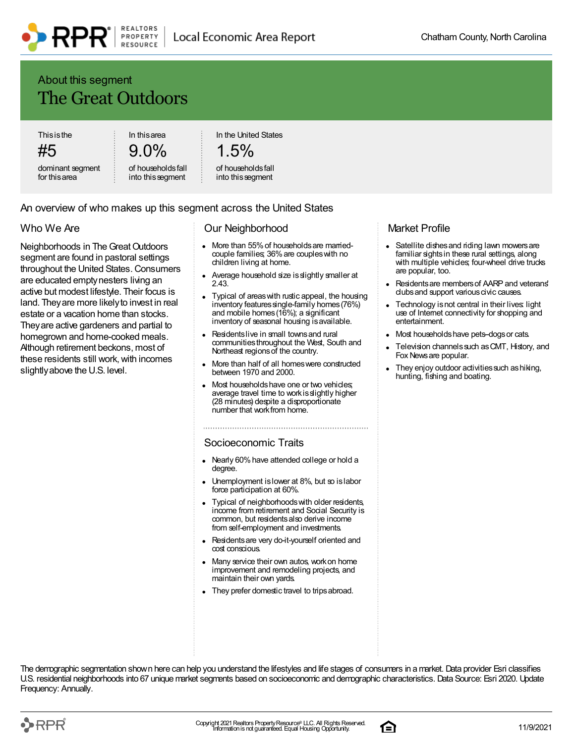### About this segment The Great Outdoors

This is the

#5

dominant segment for this area

9.0% of households fall

into this segment

In this area

In the United States

### $1.5\%$

#### of households fall into this segment

#### An overview of who makes up this segment across the United States

#### Who We Are

Neighborhoods in The Great Outdoors segment are found in pastoral settings throughout the United States. Consumers are educated empty nesters living an active but modest lifestyle. Their focus is land. They are more likely to invest in real estate or a vacation home than stocks. They are active gardeners and partial to homegrown and home-cooked meals. Although retirement beckons, most of these residents still work, with incomes slightly above the U.S. level.

#### Our Neighborhood

- More than 55% of households are marriedcouple families; 36% are couples with no children living at home.
- Average household size is slightly smaller at 2.43.
- Typical of areas with rustic appeal, the housing inventory features single-family homes (76%) and mobile homes (16%); a significant inventory of seasonal housing is available.
- Residents live in small towns and rural communities throughout the West, South and Northeast regions of the country.
- More than half of all homes were constructed between 1970 and 2000.
- Most households have one or two vehicles; average travel time to work is slightly higher (28 minutes) despite a disproportionate number that work from home.

#### Socioeconomic Traits

- Nearly 60% have attended college or hold a degree.
- Unemployment is lower at 8%, but so is labor force participation at 60%.
- Typical of neighborhoods with older residents, income from retirement and Social Security is common, but residents also derive income from self-employment and investments.
- Residents are very do-it-yourself oriented and cost conscious.
- Many service their own autos, work on home improvement and remodeling projects, and maintain their own yards.
- They prefer domestic travel to trips abroad.

#### Market Profile

- Satellite dishes and riding lawn mowers are  $\bullet$ familiar sights in these rural settings, along with multiple vehicles; four-wheel drive trucks are popular, too.
- Residents are members of AARP and veterans' clubs and support various civic causes.
- Technology is not central in their lives: light use of Internet connectivity for shopping and entertainment.
- Most households have pets-dogs or cats.
- Television channels such as CMT, History, and Fox News are popular.
- They enjoy outdoor activities such as hiking, hunting, fishing and boating.



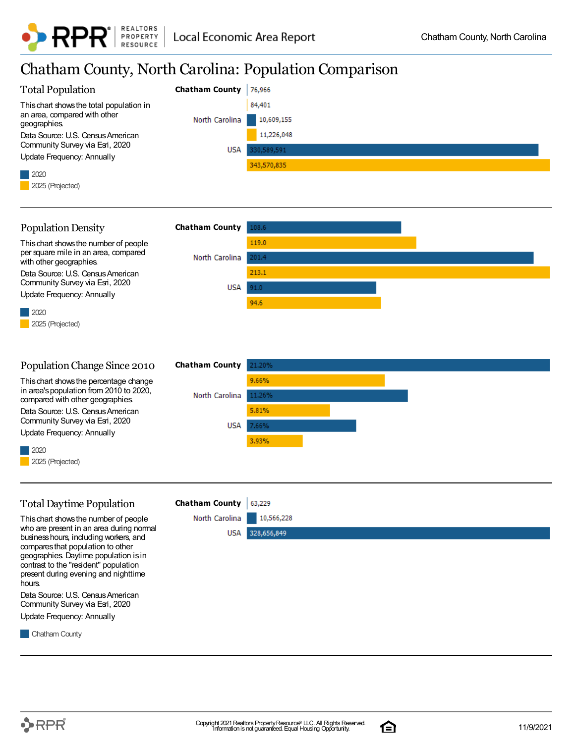

### Chatham County, North Carolina: Population Comparison

| <b>Total Population</b>                                                           | <b>Chatham County</b> | 76,966      |
|-----------------------------------------------------------------------------------|-----------------------|-------------|
|                                                                                   |                       |             |
| This chart shows the total population in<br>an area, compared with other          |                       | 84,401      |
| geographies.                                                                      | North Carolina        | 10,609,155  |
| Data Source: U.S. Census American<br>Community Survey via Esri, 2020              |                       | 11,226,048  |
| <b>Update Frequency: Annually</b>                                                 | <b>USA</b>            | 330,589,591 |
|                                                                                   |                       | 343,570,835 |
| 2020<br>2025 (Projected)                                                          |                       |             |
|                                                                                   |                       |             |
|                                                                                   |                       |             |
| <b>Population Density</b>                                                         | <b>Chatham County</b> | 108.6       |
| This chart shows the number of people                                             |                       | 119.0       |
| per square mile in an area, compared<br>with other geographies.                   | North Carolina        | 201.4       |
| Data Source: U.S. Census American                                                 |                       | 213.1       |
| Community Survey via Esri, 2020                                                   | <b>USA</b>            | 91.0        |
| <b>Update Frequency: Annually</b>                                                 |                       | 94.6        |
| 2020                                                                              |                       |             |
| 2025 (Projected)                                                                  |                       |             |
|                                                                                   |                       |             |
|                                                                                   |                       |             |
| Population Change Since 2010                                                      | <b>Chatham County</b> | 21.20%      |
| This chart shows the percentage change                                            |                       | 9.66%       |
| in area's population from 2010 to 2020,<br>compared with other geographies.       | North Carolina        | 11.26%      |
| Data Source: U.S. Census American                                                 |                       | 5.81%       |
| Community Survey via Esri, 2020                                                   | <b>USA</b>            | 7.66%       |
| <b>Update Frequency: Annually</b>                                                 |                       | 3.93%       |
| 2020                                                                              |                       |             |
| 2025 (Projected)                                                                  |                       |             |
|                                                                                   |                       |             |
| <b>Total Daytime Population</b>                                                   | <b>Chatham County</b> | 63,229      |
|                                                                                   | North Carolina        | 10,566,228  |
| This chart shows the number of people<br>who are present in an area during normal | USA                   | 328,656,849 |
| business hours, including workers, and<br>compares that population to other       |                       |             |
| geographies. Daytime population is in                                             |                       |             |
| contrast to the "resident" population<br>present during evening and nighttime     |                       |             |
| hours.                                                                            |                       |             |
| Data Source: U.S. Census American                                                 |                       |             |
| Community Survey via Esri, 2020<br><b>Update Frequency: Annually</b>              |                       |             |
|                                                                                   |                       |             |
| Chatham County                                                                    |                       |             |
|                                                                                   |                       |             |

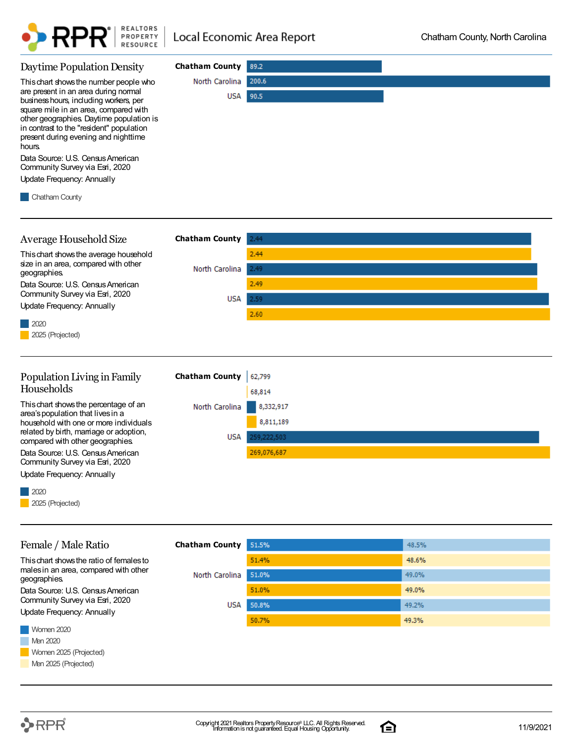

| Daytime Population Density                                                                                                                                                                                                                                                                                  | <b>Chatham County</b> | 89.2          |  |
|-------------------------------------------------------------------------------------------------------------------------------------------------------------------------------------------------------------------------------------------------------------------------------------------------------------|-----------------------|---------------|--|
| This chart shows the number people who<br>are present in an area during normal<br>business hours, including workers, per<br>square mile in an area, compared with<br>other geographies. Daytime population is<br>in contrast to the "resident" population<br>present during evening and nighttime<br>hours. | North Carolina<br>USA | 200.6<br>90.5 |  |
| Data Source: U.S. Census American<br>Community Survey via Esri, 2020<br>Update Frequency: Annually<br>Chatham County                                                                                                                                                                                        |                       |               |  |

| Average Household Size                               | <b>Chatham County</b>                                                      | 2.44 |
|------------------------------------------------------|----------------------------------------------------------------------------|------|
| This chart shows the average household               |                                                                            | 2.44 |
| size in an area, compared with other<br>geographies. | North Carolina                                                             | 2.49 |
| Data Source: U.S. Census American                    |                                                                            | 2.49 |
| Community Survey via Esri, 2020                      | USA                                                                        | 2.59 |
| Update Frequency: Annually                           |                                                                            | 2.60 |
| 2020                                                 |                                                                            |      |
| 2025 (Projected)                                     |                                                                            |      |
|                                                      |                                                                            |      |
| Dopulation Living in Family                          | $Chathom$ County $\left  \begin{array}{cc} c & 700 \\ \end{array} \right $ |      |



Update Frequency: Annually



| Female / Male Ratio                                   | <b>Chatham County</b> | 51.5% | 48.5% |
|-------------------------------------------------------|-----------------------|-------|-------|
| This chart shows the ratio of females to              |                       | 51.4% | 48.6% |
| males in an area, compared with other<br>geographies. | North Carolina        | 51.0% | 49.0% |
| Data Source: U.S. Census American                     |                       | 51.0% | 49.0% |
| Community Survey via Esri, 2020                       | <b>USA</b>            | 50.8% | 49.2% |
| Update Frequency: Annually                            |                       | 50.7% | 49.3% |
| Women 2020                                            |                       |       |       |
| Men 2020                                              |                       |       |       |
| Women 2025 (Projected)                                |                       |       |       |
| Men 2025 (Projected)                                  |                       |       |       |

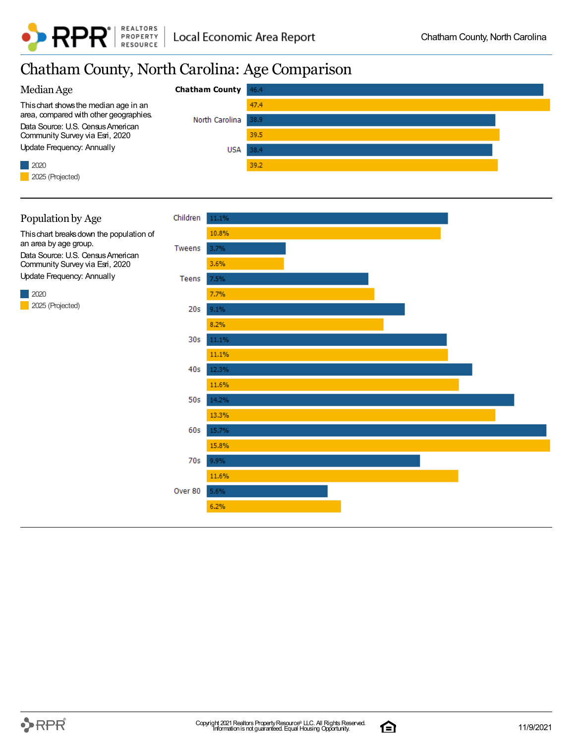

### Chatham County, North Carolina: Age Comparison



#### Population by Age

This chart breaks down the population of an area by age group. Data Source: U.S. Census American Community Survey via Esri, 2020 Update Frequency: Annually

2020 2025 (Projected)



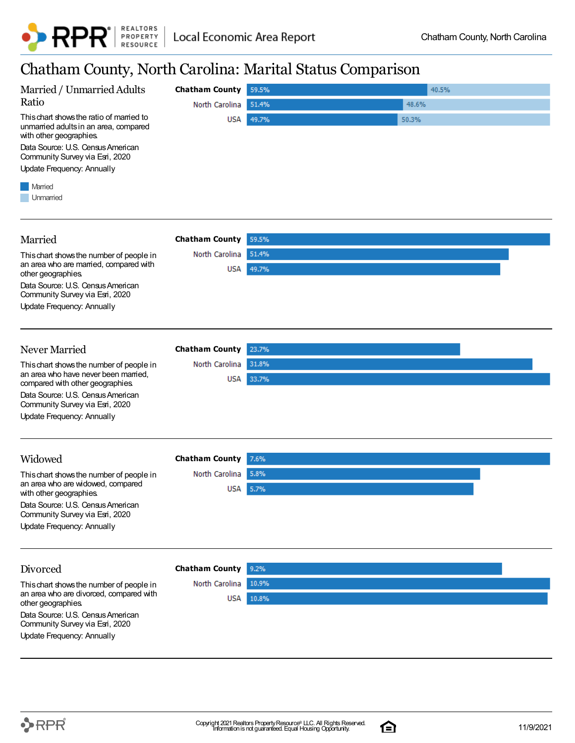

### Chatham County, North Carolina: Marital Status Comparison

|                                                                                                              |                       | T.             |  |
|--------------------------------------------------------------------------------------------------------------|-----------------------|----------------|--|
| Married / Unmarried Adults                                                                                   | <b>Chatham County</b> | 59.5%<br>40.5% |  |
| Ratio                                                                                                        | North Carolina        | 48.6%<br>51.4% |  |
| This chart shows the ratio of married to<br>unmarried adults in an area, compared<br>with other geographies. | USA                   | 49.7%<br>50.3% |  |
| Data Source: U.S. Census American<br>Community Survey via Esri, 2020                                         |                       |                |  |
| <b>Update Frequency: Annually</b>                                                                            |                       |                |  |
| Married<br>Unmarried                                                                                         |                       |                |  |
| Married                                                                                                      | <b>Chatham County</b> | 59.5%          |  |
| This chart shows the number of people in                                                                     | North Carolina        | 51.4%          |  |
| an area who are married, compared with<br>other geographies.                                                 | USA                   | 49.7%          |  |
| Data Source: U.S. Census American<br>Community Survey via Esri, 2020                                         |                       |                |  |
| <b>Update Frequency: Annually</b>                                                                            |                       |                |  |
| Never Married                                                                                                | <b>Chatham County</b> | 23.7%          |  |
| This chart shows the number of people in                                                                     | North Carolina        | 31.8%          |  |
| an area who have never been married,<br>compared with other geographies.                                     | USA                   | 33.7%          |  |
| Data Source: U.S. Census American<br>Community Survey via Esri, 2020                                         |                       |                |  |
| <b>Update Frequency: Annually</b>                                                                            |                       |                |  |
| Widowed                                                                                                      | <b>Chatham County</b> | 7.6%           |  |
| This chart shows the number of people in                                                                     | North Carolina        | 5.8%           |  |
| an area who are widowed, compared<br>with other geographies.                                                 |                       | USA 5.7%       |  |
| Data Source: U.S. Census American<br>Community Survey via Esri, 2020                                         |                       |                |  |
| <b>Update Frequency: Annually</b>                                                                            |                       |                |  |
| Divorced                                                                                                     | <b>Chatham County</b> | 9.2%           |  |
| This chart shows the number of people in                                                                     | North Carolina        | 10.9%          |  |
| an area who are divorced, compared with<br>other geographies.                                                | USA                   | 10.8%          |  |
| Data Source: U.S. Census American<br>Community Survey via Esri, 2020                                         |                       |                |  |
| <b>Update Frequency: Annually</b>                                                                            |                       |                |  |

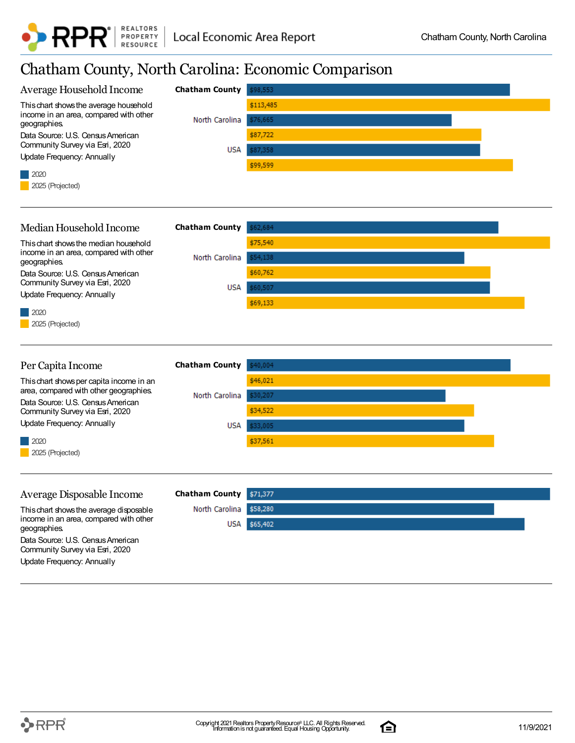

### Chatham County, North Carolina: Economic Comparison

| Average Household Income                                                           | <b>Chatham County</b> | \$98,553  |
|------------------------------------------------------------------------------------|-----------------------|-----------|
| This chart shows the average household                                             |                       | \$113,485 |
| income in an area, compared with other<br>geographies.                             | North Carolina        | \$76,665  |
| Data Source: U.S. Census American                                                  |                       | \$87,722  |
| Community Survey via Esri, 2020<br><b>Update Frequency: Annually</b>               | USA                   | \$87,358  |
| 2020                                                                               |                       | \$99,599  |
| 2025 (Projected)                                                                   |                       |           |
|                                                                                    |                       |           |
|                                                                                    |                       |           |
| Median Household Income                                                            | <b>Chatham County</b> | \$62,684  |
| This chart shows the median household<br>income in an area, compared with other    |                       | \$75,540  |
| geographies.                                                                       | North Carolina        | \$54,138  |
| Data Source: U.S. Census American<br>Community Survey via Esri, 2020               |                       | \$60,762  |
| <b>Update Frequency: Annually</b>                                                  | USA                   | \$60,507  |
| 2020                                                                               |                       | \$69,133  |
| 2025 (Projected)                                                                   |                       |           |
|                                                                                    |                       |           |
|                                                                                    |                       |           |
| Per Capita Income                                                                  | <b>Chatham County</b> | \$40,004  |
| This chart shows per capita income in an<br>area, compared with other geographies. |                       | \$46,021  |
| Data Source: U.S. Census American                                                  | North Carolina        | \$30,207  |
| Community Survey via Esri, 2020<br><b>Update Frequency: Annually</b>               | USA                   | \$34,522  |
|                                                                                    |                       | \$33,005  |
| 2020<br>2025 (Projected)                                                           |                       | \$37,561  |
|                                                                                    |                       |           |
|                                                                                    |                       |           |
| Average Disposable Income                                                          | <b>Chatham County</b> | \$71,377  |
| This chart shows the average disposable                                            | North Carolina        | \$58,280  |
| income in an area, compared with other<br>geographies                              | <b>USA</b>            | \$65,402  |
| Data Source: U.S. Census American                                                  |                       |           |
| Community Survey via Esri, 2020<br>Update Frequency: Annually                      |                       |           |
|                                                                                    |                       |           |

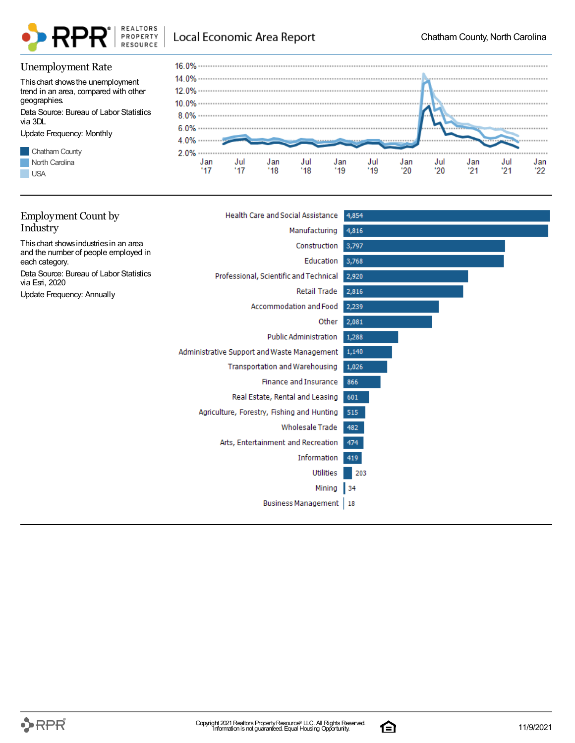

#### Unemployment Rate

This chart shows the unemployment trend in an area, compared with other geographies. Data Source: Bureau of Labor Statistics

via 3DL

Update Frequency: Monthly





| <b>Employment Count by</b>                                                     | <b>Health Care and Social Assistance</b>          | 4,854 |
|--------------------------------------------------------------------------------|---------------------------------------------------|-------|
| Industry                                                                       | Manufacturing                                     | 4,816 |
| This chart shows industries in an area<br>and the number of people employed in | Construction                                      | 3,797 |
| each category.                                                                 | Education                                         | 3,768 |
| Data Source: Bureau of Labor Statistics<br>via Esri, 2020                      | Professional, Scientific and Technical            | 2,920 |
| <b>Update Frequency: Annually</b>                                              | Retail Trade                                      | 2,816 |
|                                                                                | Accommodation and Food                            | 2,239 |
|                                                                                | Other                                             | 2,081 |
|                                                                                | <b>Public Administration</b>                      | 1,288 |
|                                                                                | Administrative Support and Waste Management 1,140 |       |
|                                                                                | Transportation and Warehousing                    | 1,026 |
|                                                                                | <b>Finance and Insurance</b>                      | 866   |
|                                                                                | Real Estate, Rental and Leasing                   | 601   |
|                                                                                | Agriculture, Forestry, Fishing and Hunting        | 515   |
|                                                                                | Wholesale Trade                                   | 482   |
|                                                                                | Arts, Entertainment and Recreation                | 474   |
|                                                                                | Information                                       | 419   |
|                                                                                | <b>Utilities</b>                                  | 203   |
|                                                                                | Mining                                            | 34    |
|                                                                                | <b>Business Management</b>                        | 18    |
|                                                                                |                                                   |       |

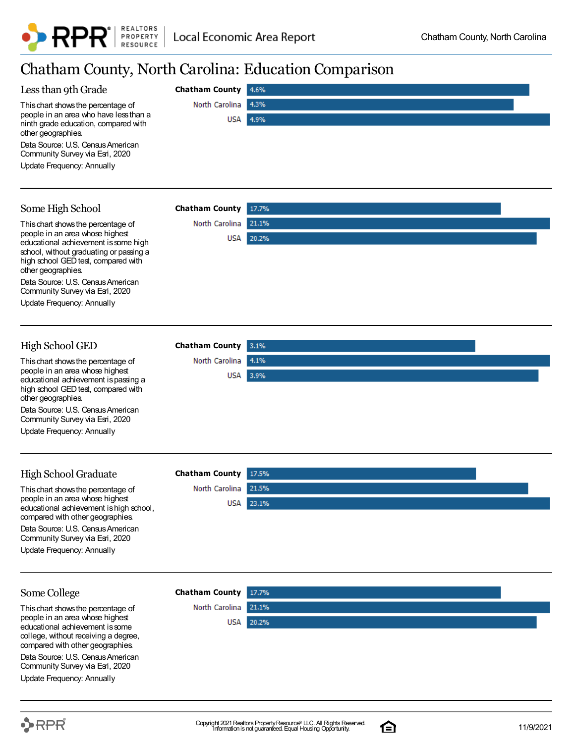

North Carolina 4.1%

USA 3.9%

### Chatham County, North Carolina: Education Comparison

| ັ້                                                                                                   |                       |       |
|------------------------------------------------------------------------------------------------------|-----------------------|-------|
| Less than 9th Grade                                                                                  | <b>Chatham County</b> | 4.6%  |
| This chart shows the percentage of                                                                   | North Carolina        | 4.3%  |
| people in an area who have less than a<br>ninth grade education, compared with<br>other geographies. | USA                   | 4.9%  |
| Data Source: U.S. Census American<br>Community Survey via Esri, 2020                                 |                       |       |
| Update Frequency: Annually                                                                           |                       |       |
|                                                                                                      |                       |       |
| Some High School                                                                                     | <b>Chatham County</b> | 17.7% |
| This chart shows the percentage of                                                                   | North Carolina        | 21.1% |
| people in an area whose highest<br>educational achievement is some high                              | USA                   | 20.2% |
| school, without graduating or passing a<br>high school GED test, compared with<br>other geographies. |                       |       |
| Data Source: U.S. Census American<br>Community Survey via Esri, 2020                                 |                       |       |
| Update Frequency: Annually                                                                           |                       |       |
|                                                                                                      |                       |       |

#### High School GED **Chatham County**

This chart shows the percentage of people in an area whose highest educational achievement is passing a high school GED test, compared with other geographies.

Data Source: U.S. Census American Community Survey via Esri, 2020

Update Frequency: Annually

#### High School Graduate

This chart shows the percentage of people in an area whose highest educational achievement is high school, compared with other geographies. Data Source: U.S. Census American Community Survey via Esri, 2020 Update Frequency: Annually

| <b>Chatham County</b> 17.5% |                  |  |
|-----------------------------|------------------|--|
| North Carolina 21.5%        |                  |  |
|                             | <b>USA</b> 23.1% |  |
|                             |                  |  |

#### Some College

This chart shows the percentage of people in an area whose highest educational achievement is some college, without receiving a degree, compared with other geographies.

Data Source: U.S. Census American Community Survey via Esri, 2020

Update Frequency: Annually





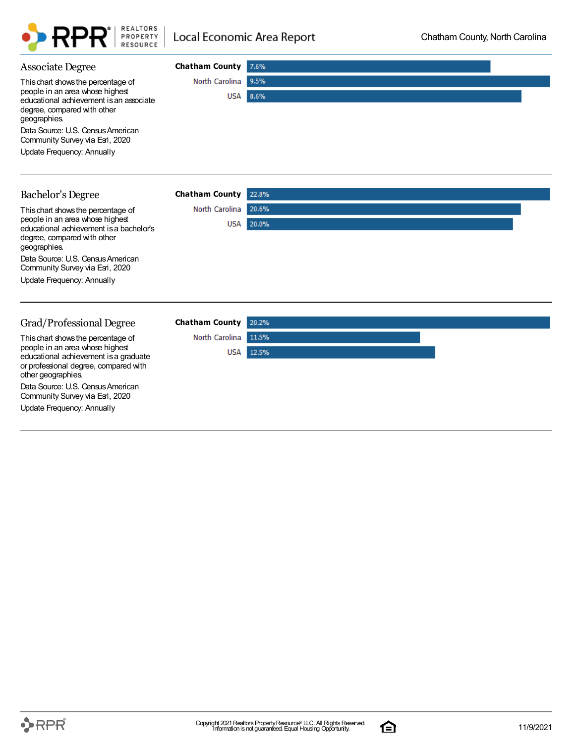

| <b>Associate Degree</b>                                                                                                                 | <b>Chatham County</b> | 7.6%  |
|-----------------------------------------------------------------------------------------------------------------------------------------|-----------------------|-------|
| This chart shows the percentage of                                                                                                      | North Carolina        | 9.5%  |
| people in an area whose highest<br>educational achievement is an associate<br>degree, compared with other<br>geographies.               | <b>USA</b>            | 8.6%  |
| Data Source: U.S. Census American<br>Community Survey via Esri, 2020                                                                    |                       |       |
| <b>Update Frequency: Annually</b>                                                                                                       |                       |       |
| <b>Bachelor's Degree</b>                                                                                                                | <b>Chatham County</b> | 22.8% |
|                                                                                                                                         |                       |       |
| This chart shows the percentage of                                                                                                      | North Carolina        | 20.6% |
| people in an area whose highest<br>educational achievement is a bachelor's<br>degree, compared with other<br>geographies                | USA                   | 20.0% |
| Data Source: U.S. Census American<br>Community Survey via Esri, 2020                                                                    |                       |       |
| Update Frequency: Annually                                                                                                              |                       |       |
|                                                                                                                                         |                       |       |
| Grad/Professional Degree                                                                                                                | <b>Chatham County</b> | 20.2% |
| This chart shows the percentage of                                                                                                      | North Carolina        | 11.5% |
| people in an area whose highest<br>educational achievement is a graduate<br>or professional degree, compared with<br>other geographies. | USA                   | 12.5% |

Data Source: U.S. Census American Community Survey via Esri, 2020

Update Frequency: Annually

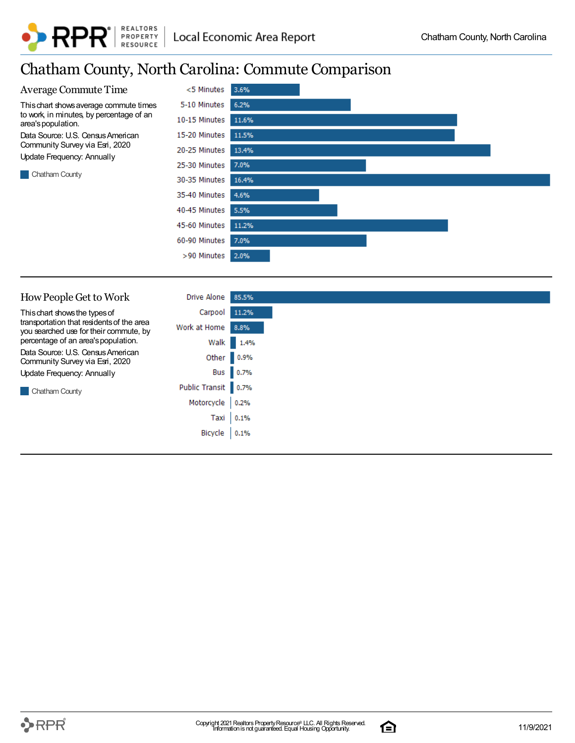### Chatham County, North Carolina: Commute Comparison



| How People Get to Work                                                              | Drive Alone         | 85.5%      |
|-------------------------------------------------------------------------------------|---------------------|------------|
| This chart shows the types of                                                       | Carpool             | 11.2%      |
| transportation that residents of the area<br>you searched use for their commute, by | Work at Home 8.8%   |            |
| percentage of an area's population.                                                 |                     | Walk 1.4%  |
| Data Source: U.S. Census American<br>Community Survey via Esri, 2020                |                     | Other 0.9% |
| Update Frequency: Annually                                                          |                     | Bus 0.7%   |
| Chatham County                                                                      | Public Transit 0.7% |            |
|                                                                                     | Motorcycle          | 0.2%       |
|                                                                                     | Taxi                | 0.1%       |
|                                                                                     | Bicycle             | 0.1%       |
|                                                                                     |                     |            |

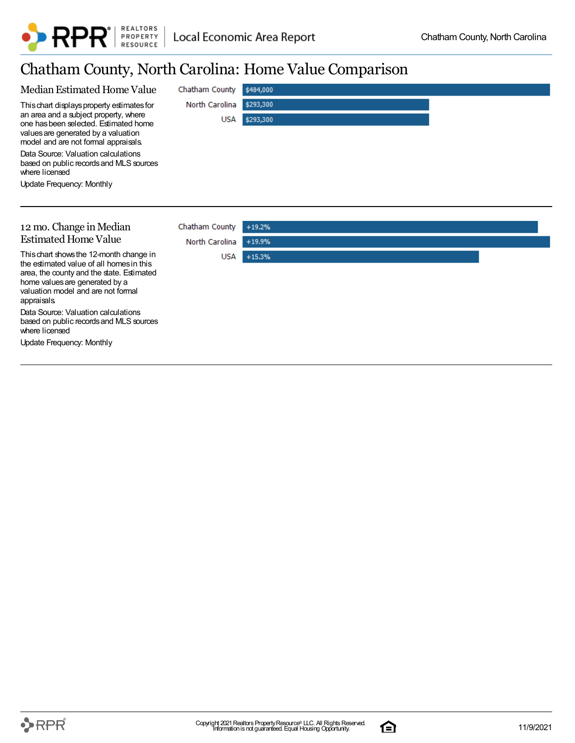

### Chatham County, North Carolina: Home Value Comparison

|                                                                                                                                                               | Chatham County | \$484,000 |
|---------------------------------------------------------------------------------------------------------------------------------------------------------------|----------------|-----------|
| This chart displays property estimates for                                                                                                                    | North Carolina | \$293,300 |
| an area and a subject property, where<br>one has been selected. Estimated home<br>values are generated by a valuation<br>model and are not formal appraisals. | <b>USA</b>     | \$293,300 |
| Data Source: Valuation calculations<br>based on public records and MLS sources<br>where licensed                                                              |                |           |
| Update Frequency: Monthly                                                                                                                                     |                |           |
|                                                                                                                                                               |                |           |
|                                                                                                                                                               |                |           |
| 12 mo. Change in Median                                                                                                                                       | Chatham County | $+19.2%$  |
|                                                                                                                                                               |                |           |
| <b>Estimated Home Value</b>                                                                                                                                   | North Carolina | $+19.9%$  |